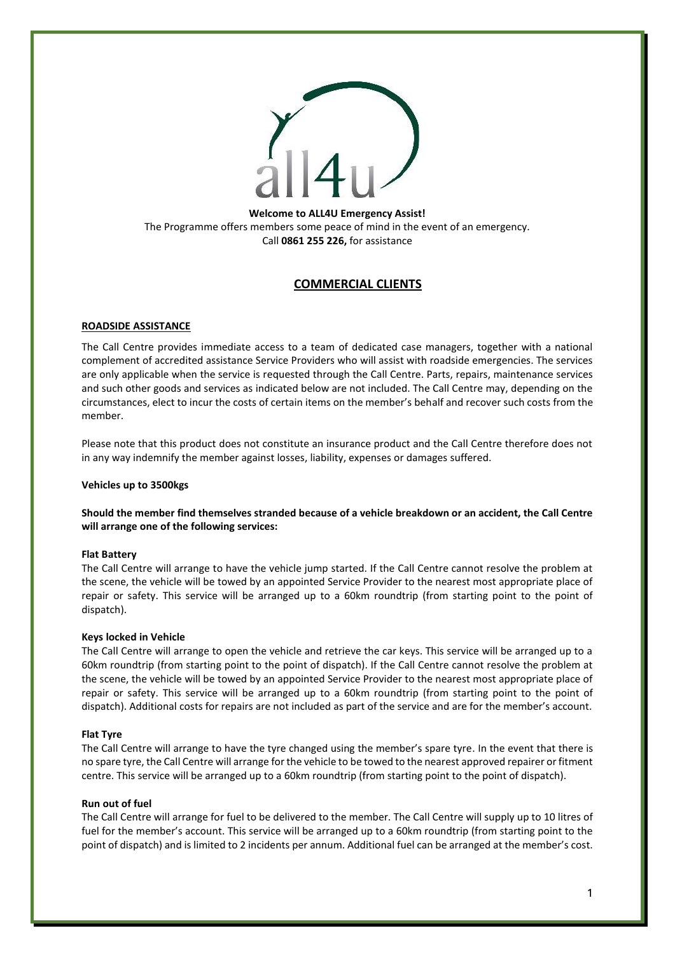

## **Welcome to ALL4U Emergency Assist!** The Programme offers members some peace of mind in the event of an emergency. Call **0861 255 226,** for assistance

# **COMMERCIAL CLIENTS**

## **ROADSIDE ASSISTANCE**

The Call Centre provides immediate access to a team of dedicated case managers, together with a national complement of accredited assistance Service Providers who will assist with roadside emergencies. The services are only applicable when the service is requested through the Call Centre. Parts, repairs, maintenance services and such other goods and services as indicated below are not included. The Call Centre may, depending on the circumstances, elect to incur the costs of certain items on the member's behalf and recover such costs from the member.

Please note that this product does not constitute an insurance product and the Call Centre therefore does not in any way indemnify the member against losses, liability, expenses or damages suffered.

## **Vehicles up to 3500kgs**

**Should the member find themselves stranded because of a vehicle breakdown or an accident, the Call Centre will arrange one of the following services:**

## **Flat Battery**

The Call Centre will arrange to have the vehicle jump started. If the Call Centre cannot resolve the problem at the scene, the vehicle will be towed by an appointed Service Provider to the nearest most appropriate place of repair or safety. This service will be arranged up to a 60km roundtrip (from starting point to the point of dispatch).

### **Keys locked in Vehicle**

The Call Centre will arrange to open the vehicle and retrieve the car keys. This service will be arranged up to a 60km roundtrip (from starting point to the point of dispatch). If the Call Centre cannot resolve the problem at the scene, the vehicle will be towed by an appointed Service Provider to the nearest most appropriate place of repair or safety. This service will be arranged up to a 60km roundtrip (from starting point to the point of dispatch). Additional costs for repairs are not included as part of the service and are for the member's account.

### **Flat Tyre**

The Call Centre will arrange to have the tyre changed using the member's spare tyre. In the event that there is no spare tyre, the Call Centre will arrange for the vehicle to be towed to the nearest approved repairer or fitment centre. This service will be arranged up to a 60km roundtrip (from starting point to the point of dispatch).

## **Run out of fuel**

The Call Centre will arrange for fuel to be delivered to the member. The Call Centre will supply up to 10 litres of fuel for the member's account. This service will be arranged up to a 60km roundtrip (from starting point to the point of dispatch) and is limited to 2 incidents per annum. Additional fuel can be arranged at the member's cost.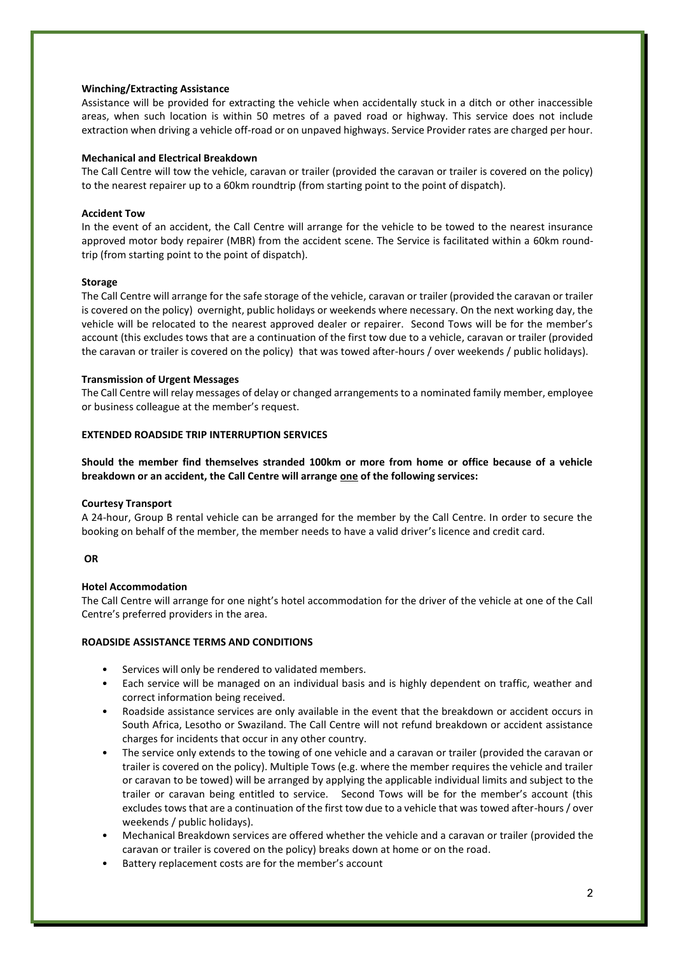### **Winching/Extracting Assistance**

Assistance will be provided for extracting the vehicle when accidentally stuck in a ditch or other inaccessible areas, when such location is within 50 metres of a paved road or highway. This service does not include extraction when driving a vehicle off-road or on unpaved highways. Service Provider rates are charged per hour.

### **Mechanical and Electrical Breakdown**

The Call Centre will tow the vehicle, caravan or trailer (provided the caravan or trailer is covered on the policy) to the nearest repairer up to a 60km roundtrip (from starting point to the point of dispatch).

### **Accident Tow**

In the event of an accident, the Call Centre will arrange for the vehicle to be towed to the nearest insurance approved motor body repairer (MBR) from the accident scene. The Service is facilitated within a 60km roundtrip (from starting point to the point of dispatch).

### **Storage**

The Call Centre will arrange for the safe storage of the vehicle, caravan or trailer (provided the caravan or trailer is covered on the policy) overnight, public holidays or weekends where necessary. On the next working day, the vehicle will be relocated to the nearest approved dealer or repairer. Second Tows will be for the member's account (this excludes tows that are a continuation of the first tow due to a vehicle, caravan or trailer (provided the caravan or trailer is covered on the policy) that was towed after-hours / over weekends / public holidays).

### **Transmission of Urgent Messages**

The Call Centre will relay messages of delay or changed arrangements to a nominated family member, employee or business colleague at the member's request.

### **EXTENDED ROADSIDE TRIP INTERRUPTION SERVICES**

**Should the member find themselves stranded 100km or more from home or office because of a vehicle breakdown or an accident, the Call Centre will arrange one of the following services:**

### **Courtesy Transport**

A 24-hour, Group B rental vehicle can be arranged for the member by the Call Centre. In order to secure the booking on behalf of the member, the member needs to have a valid driver's licence and credit card.

### **OR**

### **Hotel Accommodation**

The Call Centre will arrange for one night's hotel accommodation for the driver of the vehicle at one of the Call Centre's preferred providers in the area.

### **ROADSIDE ASSISTANCE TERMS AND CONDITIONS**

- Services will only be rendered to validated members.
- Each service will be managed on an individual basis and is highly dependent on traffic, weather and correct information being received.
- Roadside assistance services are only available in the event that the breakdown or accident occurs in South Africa, Lesotho or Swaziland. The Call Centre will not refund breakdown or accident assistance charges for incidents that occur in any other country.
- The service only extends to the towing of one vehicle and a caravan or trailer (provided the caravan or trailer is covered on the policy). Multiple Tows (e.g. where the member requires the vehicle and trailer or caravan to be towed) will be arranged by applying the applicable individual limits and subject to the trailer or caravan being entitled to service. Second Tows will be for the member's account (this excludes tows that are a continuation of the first tow due to a vehicle that was towed after-hours / over weekends / public holidays).
- Mechanical Breakdown services are offered whether the vehicle and a caravan or trailer (provided the caravan or trailer is covered on the policy) breaks down at home or on the road.
- Battery replacement costs are for the member's account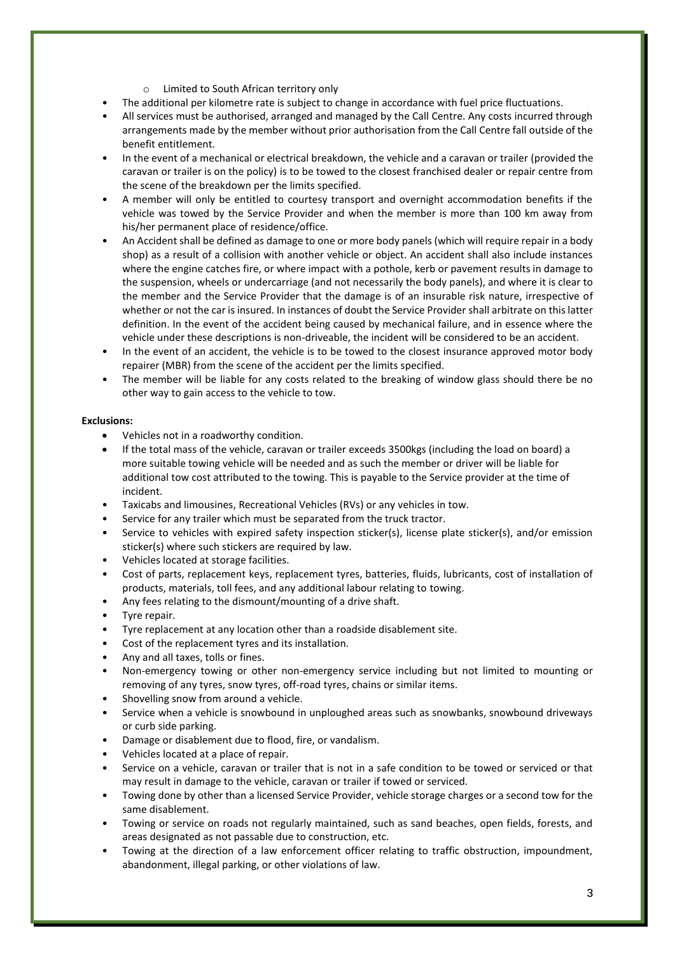- o Limited to South African territory only
- The additional per kilometre rate is subject to change in accordance with fuel price fluctuations.
- All services must be authorised, arranged and managed by the Call Centre. Any costs incurred through arrangements made by the member without prior authorisation from the Call Centre fall outside of the benefit entitlement.
- In the event of a mechanical or electrical breakdown, the vehicle and a caravan or trailer (provided the caravan or trailer is on the policy) is to be towed to the closest franchised dealer or repair centre from the scene of the breakdown per the limits specified.
- A member will only be entitled to courtesy transport and overnight accommodation benefits if the vehicle was towed by the Service Provider and when the member is more than 100 km away from his/her permanent place of residence/office.
- An Accident shall be defined as damage to one or more body panels (which will require repair in a body shop) as a result of a collision with another vehicle or object. An accident shall also include instances where the engine catches fire, or where impact with a pothole, kerb or pavement results in damage to the suspension, wheels or undercarriage (and not necessarily the body panels), and where it is clear to the member and the Service Provider that the damage is of an insurable risk nature, irrespective of whether or not the car is insured. In instances of doubt the Service Provider shall arbitrate on this latter definition. In the event of the accident being caused by mechanical failure, and in essence where the vehicle under these descriptions is non-driveable, the incident will be considered to be an accident.
- In the event of an accident, the vehicle is to be towed to the closest insurance approved motor body repairer (MBR) from the scene of the accident per the limits specified.
- The member will be liable for any costs related to the breaking of window glass should there be no other way to gain access to the vehicle to tow.

## **Exclusions:**

- Vehicles not in a roadworthy condition.
- If the total mass of the vehicle, caravan or trailer exceeds 3500kgs (including the load on board) a more suitable towing vehicle will be needed and as such the member or driver will be liable for additional tow cost attributed to the towing. This is payable to the Service provider at the time of incident.
- Taxicabs and limousines, Recreational Vehicles (RVs) or any vehicles in tow.
- Service for any trailer which must be separated from the truck tractor.
- Service to vehicles with expired safety inspection sticker(s), license plate sticker(s), and/or emission sticker(s) where such stickers are required by law.
- Vehicles located at storage facilities.
- Cost of parts, replacement keys, replacement tyres, batteries, fluids, lubricants, cost of installation of products, materials, toll fees, and any additional labour relating to towing.
- Any fees relating to the dismount/mounting of a drive shaft.
- Tyre repair.
- Tyre replacement at any location other than a roadside disablement site.
- Cost of the replacement tyres and its installation.
- Any and all taxes, tolls or fines.
- Non-emergency towing or other non-emergency service including but not limited to mounting or removing of any tyres, snow tyres, off-road tyres, chains or similar items.
- Shovelling snow from around a vehicle.
- Service when a vehicle is snowbound in unploughed areas such as snowbanks, snowbound driveways or curb side parking.
- Damage or disablement due to flood, fire, or vandalism.
- Vehicles located at a place of repair.
- Service on a vehicle, caravan or trailer that is not in a safe condition to be towed or serviced or that may result in damage to the vehicle, caravan or trailer if towed or serviced.
- Towing done by other than a licensed Service Provider, vehicle storage charges or a second tow for the same disablement.
- Towing or service on roads not regularly maintained, such as sand beaches, open fields, forests, and areas designated as not passable due to construction, etc.
- Towing at the direction of a law enforcement officer relating to traffic obstruction, impoundment, abandonment, illegal parking, or other violations of law.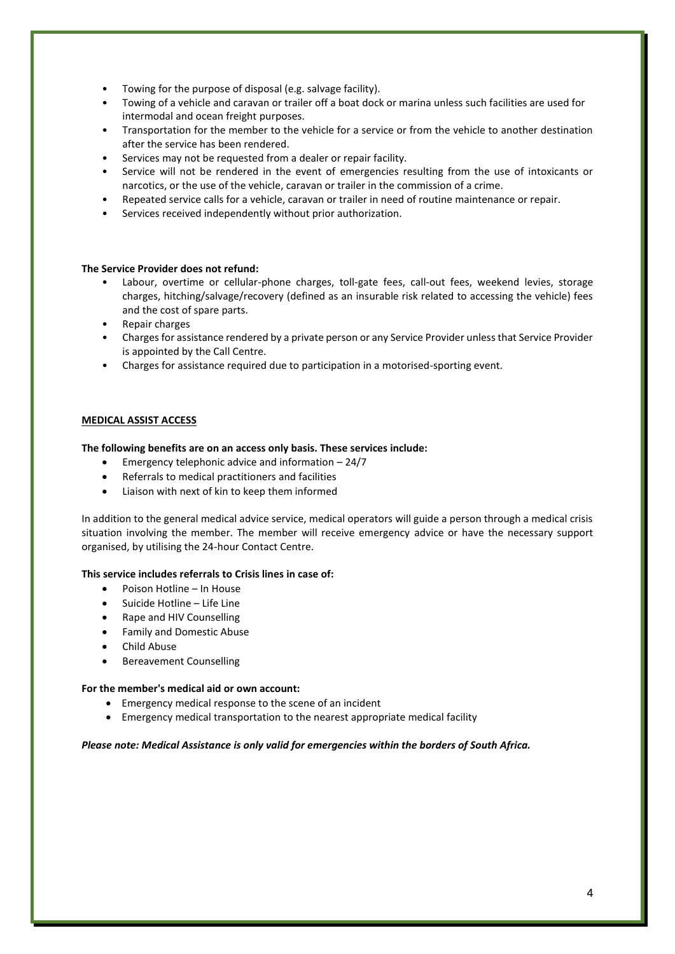- Towing for the purpose of disposal (e.g. salvage facility).
- Towing of a vehicle and caravan or trailer off a boat dock or marina unless such facilities are used for intermodal and ocean freight purposes.
- Transportation for the member to the vehicle for a service or from the vehicle to another destination after the service has been rendered.
- Services may not be requested from a dealer or repair facility.
- Service will not be rendered in the event of emergencies resulting from the use of intoxicants or narcotics, or the use of the vehicle, caravan or trailer in the commission of a crime.
- Repeated service calls for a vehicle, caravan or trailer in need of routine maintenance or repair.
- Services received independently without prior authorization.

### **The Service Provider does not refund:**

- Labour, overtime or cellular-phone charges, toll-gate fees, call-out fees, weekend levies, storage charges, hitching/salvage/recovery (defined as an insurable risk related to accessing the vehicle) fees and the cost of spare parts.
- Repair charges
- Charges for assistance rendered by a private person or any Service Provider unless that Service Provider is appointed by the Call Centre.
- Charges for assistance required due to participation in a motorised-sporting event.

### **MEDICAL ASSIST ACCESS**

### **The following benefits are on an access only basis. These services include:**

- Emergency telephonic advice and information 24/7
- Referrals to medical practitioners and facilities
- Liaison with next of kin to keep them informed

In addition to the general medical advice service, medical operators will guide a person through a medical crisis situation involving the member. The member will receive emergency advice or have the necessary support organised, by utilising the 24-hour Contact Centre.

### **This service includes referrals to Crisis lines in case of:**

- Poison Hotline In House
- Suicide Hotline Life Line
- Rape and HIV Counselling
- Family and Domestic Abuse
- Child Abuse
- Bereavement Counselling

### **For the member's medical aid or own account:**

- Emergency medical response to the scene of an incident
- Emergency medical transportation to the nearest appropriate medical facility

### *Please note: Medical Assistance is only valid for emergencies within the borders of South Africa.*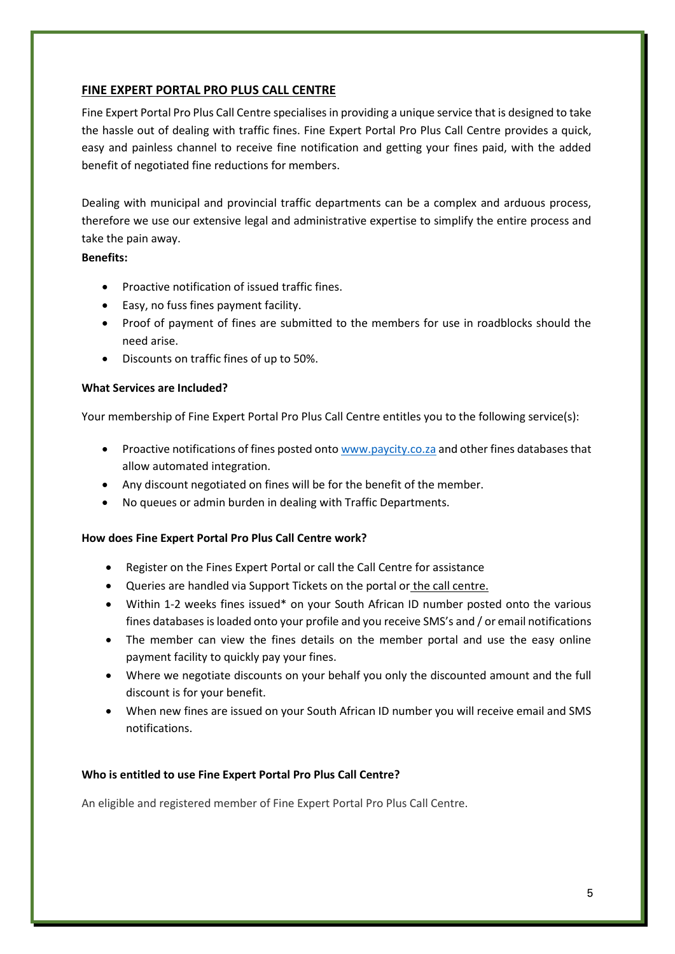# **FINE EXPERT PORTAL PRO PLUS CALL CENTRE**

Fine Expert Portal Pro Plus Call Centre specialises in providing a unique service that is designed to take the hassle out of dealing with traffic fines. Fine Expert Portal Pro Plus Call Centre provides a quick, easy and painless channel to receive fine notification and getting your fines paid, with the added benefit of negotiated fine reductions for members.

Dealing with municipal and provincial traffic departments can be a complex and arduous process, therefore we use our extensive legal and administrative expertise to simplify the entire process and take the pain away.

# **Benefits:**

- Proactive notification of issued traffic fines.
- Easy, no fuss fines payment facility.
- Proof of payment of fines are submitted to the members for use in roadblocks should the need arise.
- Discounts on traffic fines of up to 50%.

# **What Services are Included?**

Your membership of Fine Expert Portal Pro Plus Call Centre entitles you to the following service(s):

- Proactive notifications of fines posted onto [www.paycity.co.za](http://www.paycity.co.za/) and other fines databases that allow automated integration.
- Any discount negotiated on fines will be for the benefit of the member.
- No queues or admin burden in dealing with Traffic Departments.

# **How does Fine Expert Portal Pro Plus Call Centre work?**

- Register on the Fines Expert Portal or call the Call Centre for assistance
- Queries are handled via Support Tickets on the portal or the call centre.
- Within 1-2 weeks fines issued\* on your South African ID number posted onto the various fines databases is loaded onto your profile and you receive SMS's and / or email notifications
- The member can view the fines details on the member portal and use the easy online payment facility to quickly pay your fines.
- Where we negotiate discounts on your behalf you only the discounted amount and the full discount is for your benefit.
- When new fines are issued on your South African ID number you will receive email and SMS notifications.

# **Who is entitled to use Fine Expert Portal Pro Plus Call Centre?**

An eligible and registered member of Fine Expert Portal Pro Plus Call Centre.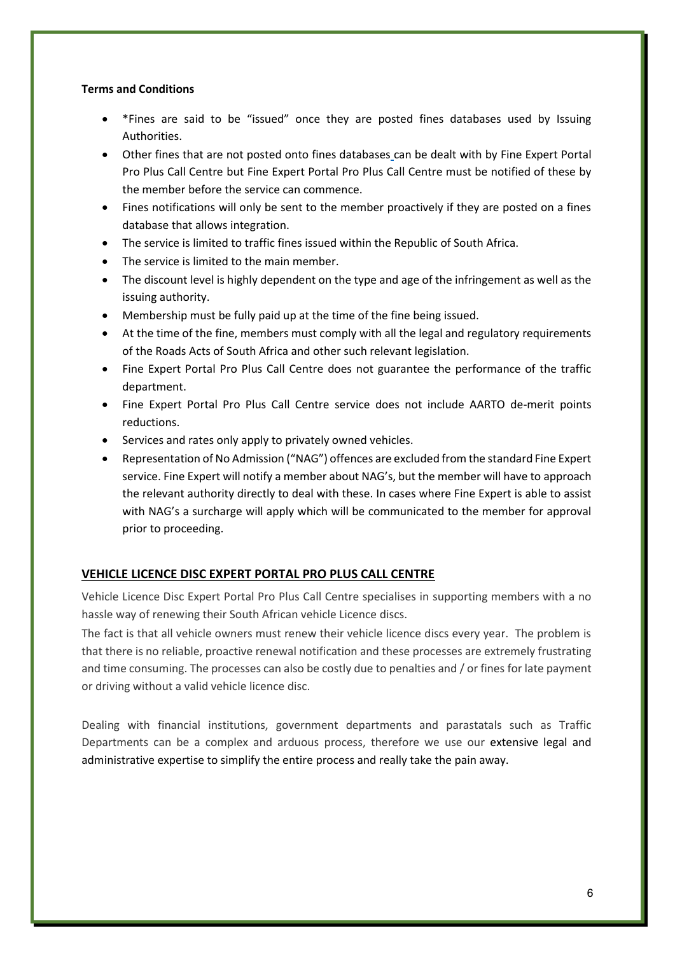## **Terms and Conditions**

- \*Fines are said to be "issued" once they are posted fines databases used by Issuing Authorities.
- Other fines that are not posted onto fines databases [c](http://www.mpfine.co.za/)an be dealt with by Fine Expert Portal Pro Plus Call Centre but Fine Expert Portal Pro Plus Call Centre must be notified of these by the member before the service can commence.
- Fines notifications will only be sent to the member proactively if they are posted on a fines database that allows integration.
- The service is limited to traffic fines issued within the Republic of South Africa.
- The service is limited to the main member.
- The discount level is highly dependent on the type and age of the infringement as well as the issuing authority.
- Membership must be fully paid up at the time of the fine being issued.
- At the time of the fine, members must comply with all the legal and regulatory requirements of the Roads Acts of South Africa and other such relevant legislation.
- Fine Expert Portal Pro Plus Call Centre does not guarantee the performance of the traffic department.
- Fine Expert Portal Pro Plus Call Centre service does not include AARTO de-merit points reductions.
- Services and rates only apply to privately owned vehicles.
- Representation of No Admission ("NAG") offences are excluded from the standard Fine Expert service. Fine Expert will notify a member about NAG's, but the member will have to approach the relevant authority directly to deal with these. In cases where Fine Expert is able to assist with NAG's a surcharge will apply which will be communicated to the member for approval prior to proceeding.

## **VEHICLE LICENCE DISC EXPERT PORTAL PRO PLUS CALL CENTRE**

Vehicle Licence Disc Expert Portal Pro Plus Call Centre specialises in supporting members with a no hassle way of renewing their South African vehicle Licence discs.

The fact is that all vehicle owners must renew their vehicle licence discs every year. The problem is that there is no reliable, proactive renewal notification and these processes are extremely frustrating and time consuming. The processes can also be costly due to penalties and / or fines for late payment or driving without a valid vehicle licence disc.

Dealing with financial institutions, government departments and parastatals such as Traffic Departments can be a complex and arduous process, therefore we use our extensive legal and administrative expertise to simplify the entire process and really take the pain away.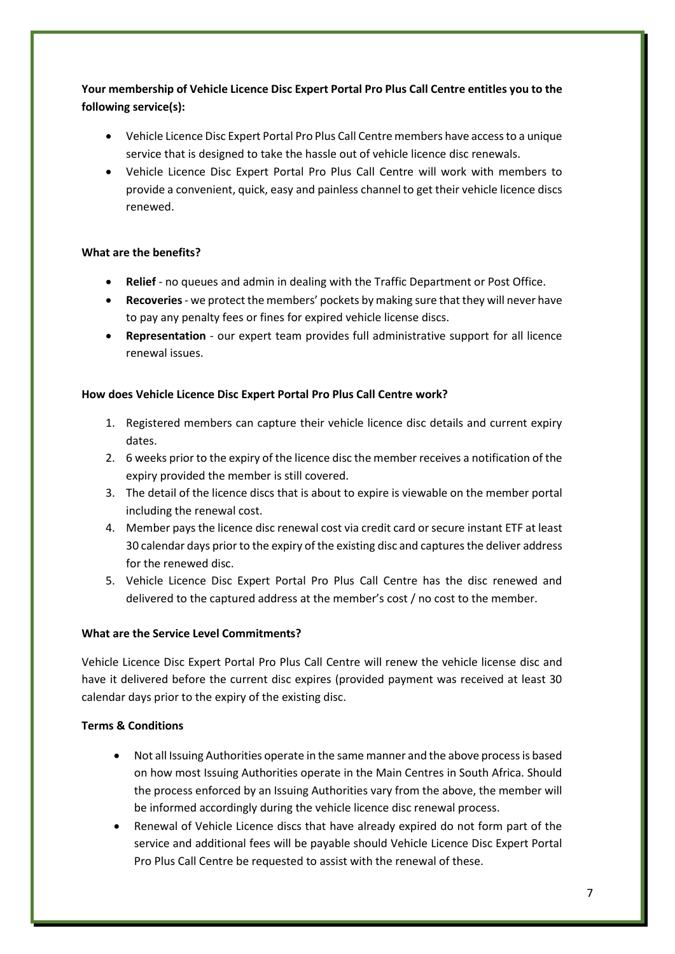**Your membership of Vehicle Licence Disc Expert Portal Pro Plus Call Centre entitles you to the following service(s):**

- Vehicle Licence Disc Expert Portal Pro Plus Call Centre members have access to a unique service that is designed to take the hassle out of vehicle licence disc renewals.
- Vehicle Licence Disc Expert Portal Pro Plus Call Centre will work with members to provide a convenient, quick, easy and painless channel to get their vehicle licence discs renewed.

# **What are the benefits?**

- **Relief** no queues and admin in dealing with the Traffic Department or Post Office.
- **Recoveries** we protect the members' pockets by making sure that they will never have to pay any penalty fees or fines for expired vehicle license discs.
- **Representation** our expert team provides full administrative support for all licence renewal issues.

# **How does Vehicle Licence Disc Expert Portal Pro Plus Call Centre work?**

- 1. Registered members can capture their vehicle licence disc details and current expiry dates.
- 2. 6 weeks prior to the expiry of the licence disc the member receives a notification of the expiry provided the member is still covered.
- 3. The detail of the licence discs that is about to expire is viewable on the member portal including the renewal cost.
- 4. Member pays the licence disc renewal cost via credit card or secure instant ETF at least 30 calendar days prior to the expiry of the existing disc and captures the deliver address for the renewed disc.
- 5. Vehicle Licence Disc Expert Portal Pro Plus Call Centre has the disc renewed and delivered to the captured address at the member's cost / no cost to the member.

## **What are the Service Level Commitments?**

Vehicle Licence Disc Expert Portal Pro Plus Call Centre will renew the vehicle license disc and have it delivered before the current disc expires (provided payment was received at least 30 calendar days prior to the expiry of the existing disc.

## **Terms & Conditions**

- Not all Issuing Authorities operate in the same manner and the above process is based on how most Issuing Authorities operate in the Main Centres in South Africa. Should the process enforced by an Issuing Authorities vary from the above, the member will be informed accordingly during the vehicle licence disc renewal process.
- Renewal of Vehicle Licence discs that have already expired do not form part of the service and additional fees will be payable should Vehicle Licence Disc Expert Portal Pro Plus Call Centre be requested to assist with the renewal of these.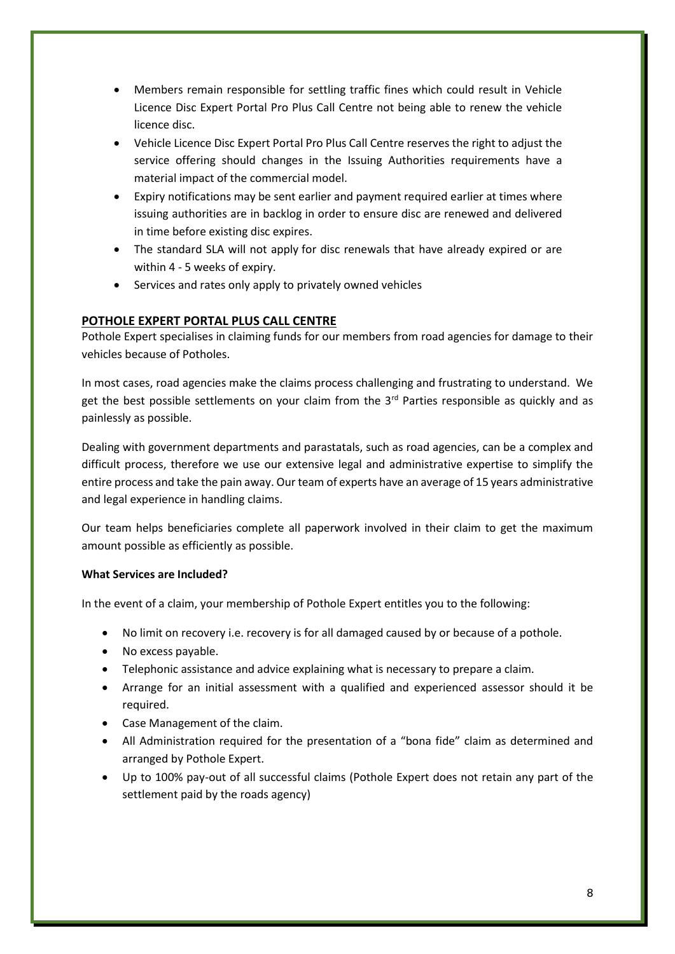- Members remain responsible for settling traffic fines which could result in Vehicle Licence Disc Expert Portal Pro Plus Call Centre not being able to renew the vehicle licence disc.
- Vehicle Licence Disc Expert Portal Pro Plus Call Centre reserves the right to adjust the service offering should changes in the Issuing Authorities requirements have a material impact of the commercial model.
- Expiry notifications may be sent earlier and payment required earlier at times where issuing authorities are in backlog in order to ensure disc are renewed and delivered in time before existing disc expires.
- The standard SLA will not apply for disc renewals that have already expired or are within 4 - 5 weeks of expiry.
- Services and rates only apply to privately owned vehicles

# **POTHOLE EXPERT PORTAL PLUS CALL CENTRE**

Pothole Expert specialises in claiming funds for our members from road agencies for damage to their vehicles because of Potholes.

In most cases, road agencies make the claims process challenging and frustrating to understand. We get the best possible settlements on your claim from the  $3<sup>rd</sup>$  Parties responsible as quickly and as painlessly as possible.

Dealing with government departments and parastatals, such as road agencies, can be a complex and difficult process, therefore we use our extensive legal and administrative expertise to simplify the entire process and take the pain away. Our team of experts have an average of 15 years administrative and legal experience in handling claims.

Our team helps beneficiaries complete all paperwork involved in their claim to get the maximum amount possible as efficiently as possible.

## **What Services are Included?**

In the event of a claim, your membership of Pothole Expert entitles you to the following:

- No limit on recovery i.e. recovery is for all damaged caused by or because of a pothole.
- No excess payable.
- Telephonic assistance and advice explaining what is necessary to prepare a claim.
- Arrange for an initial assessment with a qualified and experienced assessor should it be required.
- Case Management of the claim.
- All Administration required for the presentation of a "bona fide" claim as determined and arranged by Pothole Expert.
- Up to 100% pay-out of all successful claims (Pothole Expert does not retain any part of the settlement paid by the roads agency)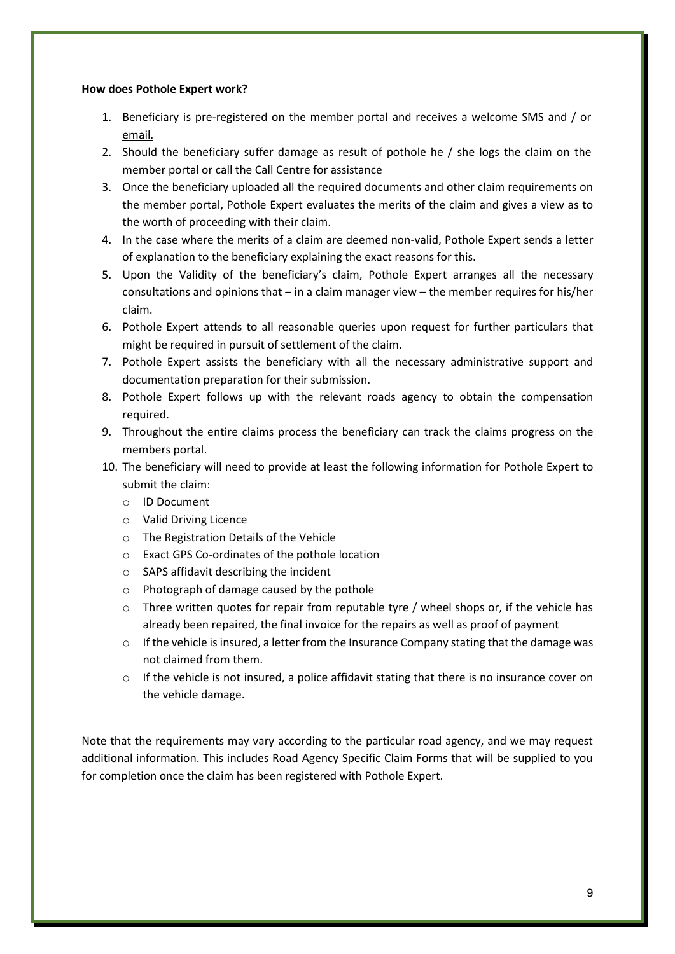## **How does Pothole Expert work?**

- 1. Beneficiary is pre-registered on the member portal and receives a welcome SMS and / or email.
- 2. Should the beneficiary suffer damage as result of pothole he / she logs the claim on the member portal or call the Call Centre for assistance
- 3. Once the beneficiary uploaded all the required documents and other claim requirements on the member portal, Pothole Expert evaluates the merits of the claim and gives a view as to the worth of proceeding with their claim.
- 4. In the case where the merits of a claim are deemed non-valid, Pothole Expert sends a letter of explanation to the beneficiary explaining the exact reasons for this.
- 5. Upon the Validity of the beneficiary's claim, Pothole Expert arranges all the necessary consultations and opinions that – in a claim manager view – the member requires for his/her claim.
- 6. Pothole Expert attends to all reasonable queries upon request for further particulars that might be required in pursuit of settlement of the claim.
- 7. Pothole Expert assists the beneficiary with all the necessary administrative support and documentation preparation for their submission.
- 8. Pothole Expert follows up with the relevant roads agency to obtain the compensation required.
- 9. Throughout the entire claims process the beneficiary can track the claims progress on the members portal.
- 10. The beneficiary will need to provide at least the following information for Pothole Expert to submit the claim:
	- o ID Document
	- o Valid Driving Licence
	- o The Registration Details of the Vehicle
	- o Exact GPS Co-ordinates of the pothole location
	- o SAPS affidavit describing the incident
	- o Photograph of damage caused by the pothole
	- o Three written quotes for repair from reputable tyre / wheel shops or, if the vehicle has already been repaired, the final invoice for the repairs as well as proof of payment
	- $\circ$  If the vehicle is insured, a letter from the Insurance Company stating that the damage was not claimed from them.
	- $\circ$  If the vehicle is not insured, a police affidavit stating that there is no insurance cover on the vehicle damage.

Note that the requirements may vary according to the particular road agency, and we may request additional information. This includes Road Agency Specific Claim Forms that will be supplied to you for completion once the claim has been registered with Pothole Expert.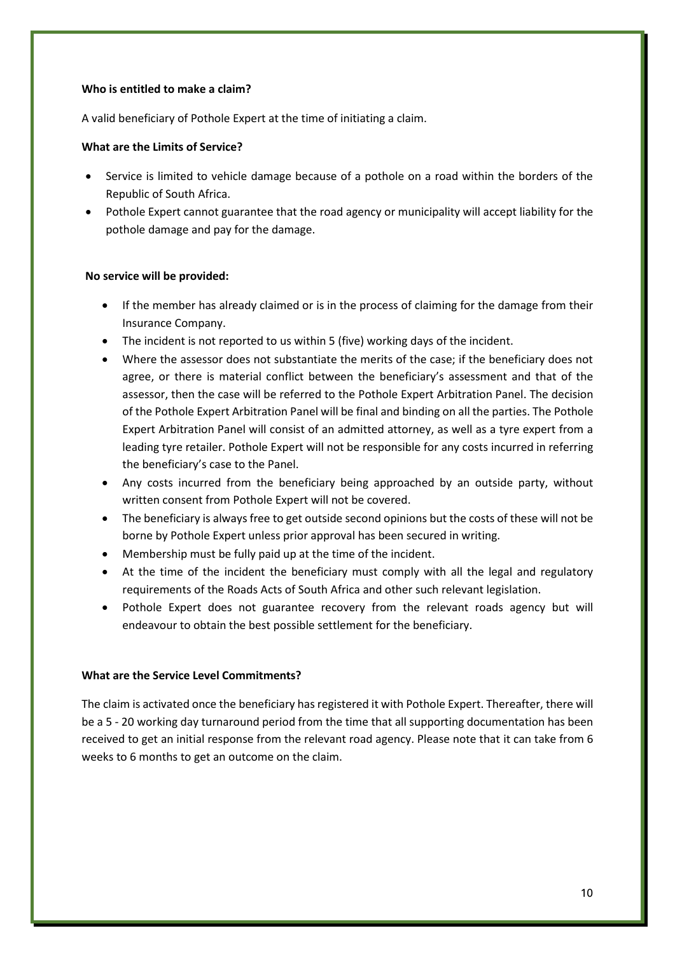## **Who is entitled to make a claim?**

A valid beneficiary of Pothole Expert at the time of initiating a claim.

## **What are the Limits of Service?**

- Service is limited to vehicle damage because of a pothole on a road within the borders of the Republic of South Africa.
- Pothole Expert cannot guarantee that the road agency or municipality will accept liability for the pothole damage and pay for the damage.

## **No service will be provided:**

- If the member has already claimed or is in the process of claiming for the damage from their Insurance Company.
- The incident is not reported to us within 5 (five) working days of the incident.
- Where the assessor does not substantiate the merits of the case; if the beneficiary does not agree, or there is material conflict between the beneficiary's assessment and that of the assessor, then the case will be referred to the Pothole Expert Arbitration Panel. The decision of the Pothole Expert Arbitration Panel will be final and binding on all the parties. The Pothole Expert Arbitration Panel will consist of an admitted attorney, as well as a tyre expert from a leading tyre retailer. Pothole Expert will not be responsible for any costs incurred in referring the beneficiary's case to the Panel.
- Any costs incurred from the beneficiary being approached by an outside party, without written consent from Pothole Expert will not be covered.
- The beneficiary is always free to get outside second opinions but the costs of these will not be borne by Pothole Expert unless prior approval has been secured in writing.
- Membership must be fully paid up at the time of the incident.
- At the time of the incident the beneficiary must comply with all the legal and regulatory requirements of the Roads Acts of South Africa and other such relevant legislation.
- Pothole Expert does not guarantee recovery from the relevant roads agency but will endeavour to obtain the best possible settlement for the beneficiary.

## **What are the Service Level Commitments?**

The claim is activated once the beneficiary has registered it with Pothole Expert. Thereafter, there will be a 5 - 20 working day turnaround period from the time that all supporting documentation has been received to get an initial response from the relevant road agency. Please note that it can take from 6 weeks to 6 months to get an outcome on the claim.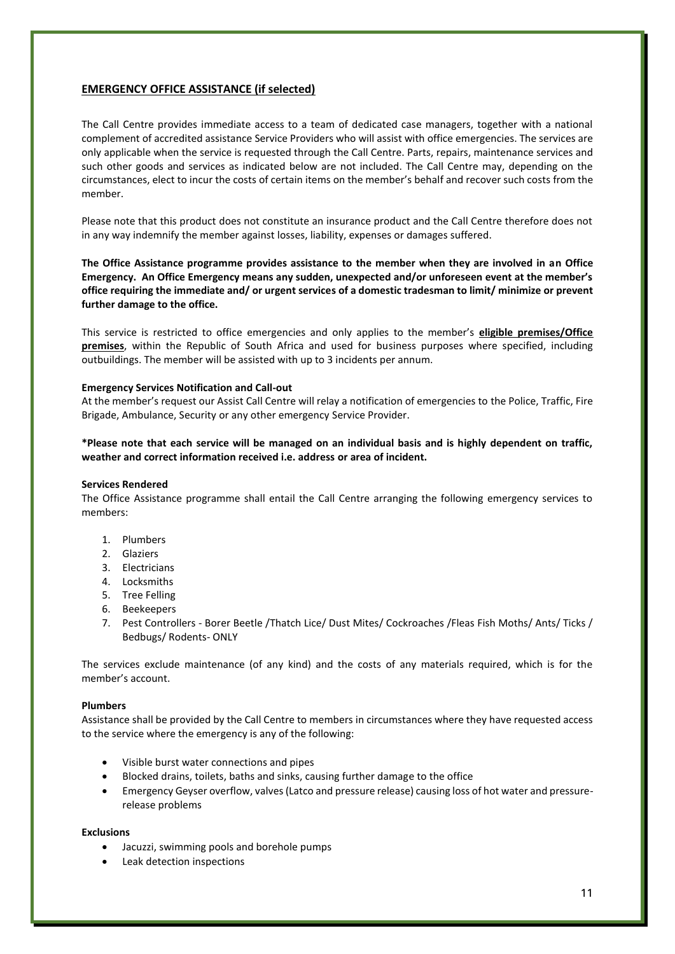## **EMERGENCY OFFICE ASSISTANCE (if selected)**

The Call Centre provides immediate access to a team of dedicated case managers, together with a national complement of accredited assistance Service Providers who will assist with office emergencies. The services are only applicable when the service is requested through the Call Centre. Parts, repairs, maintenance services and such other goods and services as indicated below are not included. The Call Centre may, depending on the circumstances, elect to incur the costs of certain items on the member's behalf and recover such costs from the member.

Please note that this product does not constitute an insurance product and the Call Centre therefore does not in any way indemnify the member against losses, liability, expenses or damages suffered.

**The Office Assistance programme provides assistance to the member when they are involved in an Office Emergency. An Office Emergency means any sudden, unexpected and/or unforeseen event at the member's office requiring the immediate and/ or urgent services of a domestic tradesman to limit/ minimize or prevent further damage to the office.**

This service is restricted to office emergencies and only applies to the member's **eligible premises/Office premises**, within the Republic of South Africa and used for business purposes where specified, including outbuildings. The member will be assisted with up to 3 incidents per annum.

### **Emergency Services Notification and Call-out**

At the member's request our Assist Call Centre will relay a notification of emergencies to the Police, Traffic, Fire Brigade, Ambulance, Security or any other emergency Service Provider.

**\*Please note that each service will be managed on an individual basis and is highly dependent on traffic, weather and correct information received i.e. address or area of incident.** 

### **Services Rendered**

The Office Assistance programme shall entail the Call Centre arranging the following emergency services to members:

- 1. Plumbers
- 2. Glaziers
- 3. Electricians
- 4. Locksmiths
- 5. Tree Felling
- 6. Beekeepers
- 7. Pest Controllers Borer Beetle /Thatch Lice/ Dust Mites/ Cockroaches /Fleas Fish Moths/ Ants/ Ticks / Bedbugs/ Rodents- ONLY

The services exclude maintenance (of any kind) and the costs of any materials required, which is for the member's account.

### **Plumbers**

Assistance shall be provided by the Call Centre to members in circumstances where they have requested access to the service where the emergency is any of the following:

- Visible burst water connections and pipes
- Blocked drains, toilets, baths and sinks, causing further damage to the office
- Emergency Geyser overflow, valves (Latco and pressure release) causing loss of hot water and pressurerelease problems

### **Exclusions**

- Jacuzzi, swimming pools and borehole pumps
- Leak detection inspections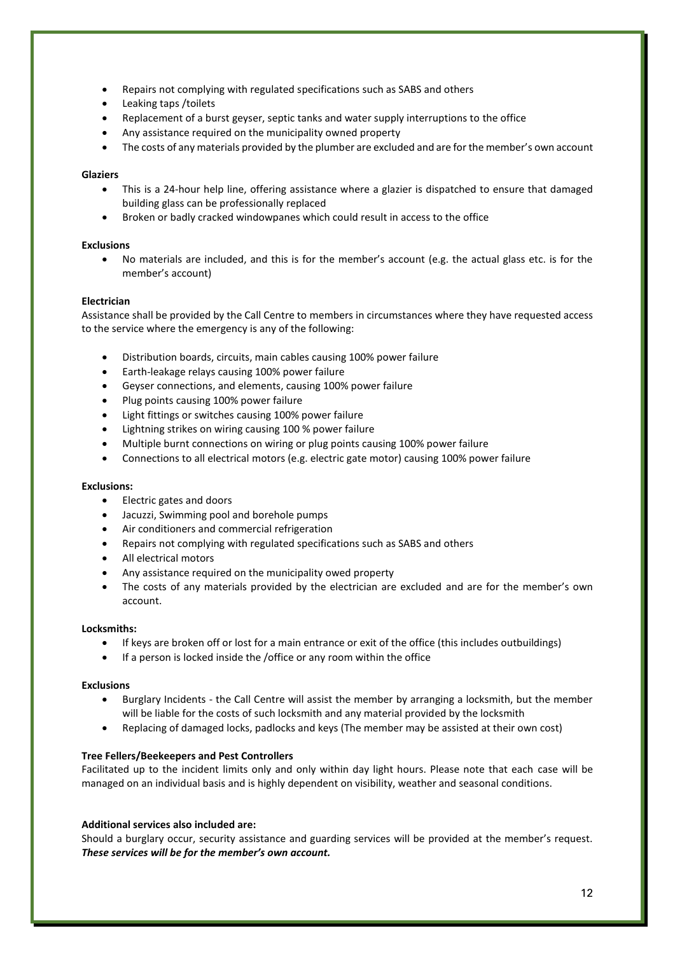- Repairs not complying with regulated specifications such as SABS and others
- Leaking taps / toilets
- Replacement of a burst geyser, septic tanks and water supply interruptions to the office
- Any assistance required on the municipality owned property
- The costs of any materials provided by the plumber are excluded and are for the member's own account

## **Glaziers**

- This is a 24-hour help line, offering assistance where a glazier is dispatched to ensure that damaged building glass can be professionally replaced
- Broken or badly cracked windowpanes which could result in access to the office

## **Exclusions**

• No materials are included, and this is for the member's account (e.g. the actual glass etc. is for the member's account)

## **Electrician**

Assistance shall be provided by the Call Centre to members in circumstances where they have requested access to the service where the emergency is any of the following:

- Distribution boards, circuits, main cables causing 100% power failure
- Earth-leakage relays causing 100% power failure
- Geyser connections, and elements, causing 100% power failure
- Plug points causing 100% power failure
- Light fittings or switches causing 100% power failure
- Lightning strikes on wiring causing 100 % power failure
- Multiple burnt connections on wiring or plug points causing 100% power failure
- Connections to all electrical motors (e.g. electric gate motor) causing 100% power failure

## **Exclusions:**

- Electric gates and doors
- Jacuzzi, Swimming pool and borehole pumps
- Air conditioners and commercial refrigeration
- Repairs not complying with regulated specifications such as SABS and others
- All electrical motors
- Any assistance required on the municipality owed property
- The costs of any materials provided by the electrician are excluded and are for the member's own account.

## **Locksmiths:**

- If keys are broken off or lost for a main entrance or exit of the office (this includes outbuildings)
- If a person is locked inside the /office or any room within the office

## **Exclusions**

- Burglary Incidents the Call Centre will assist the member by arranging a locksmith, but the member will be liable for the costs of such locksmith and any material provided by the locksmith
- Replacing of damaged locks, padlocks and keys (The member may be assisted at their own cost)

## **Tree Fellers/Beekeepers and Pest Controllers**

Facilitated up to the incident limits only and only within day light hours. Please note that each case will be managed on an individual basis and is highly dependent on visibility, weather and seasonal conditions.

## **Additional services also included are:**

Should a burglary occur, security assistance and guarding services will be provided at the member's request. *These services will be for the member's own account.*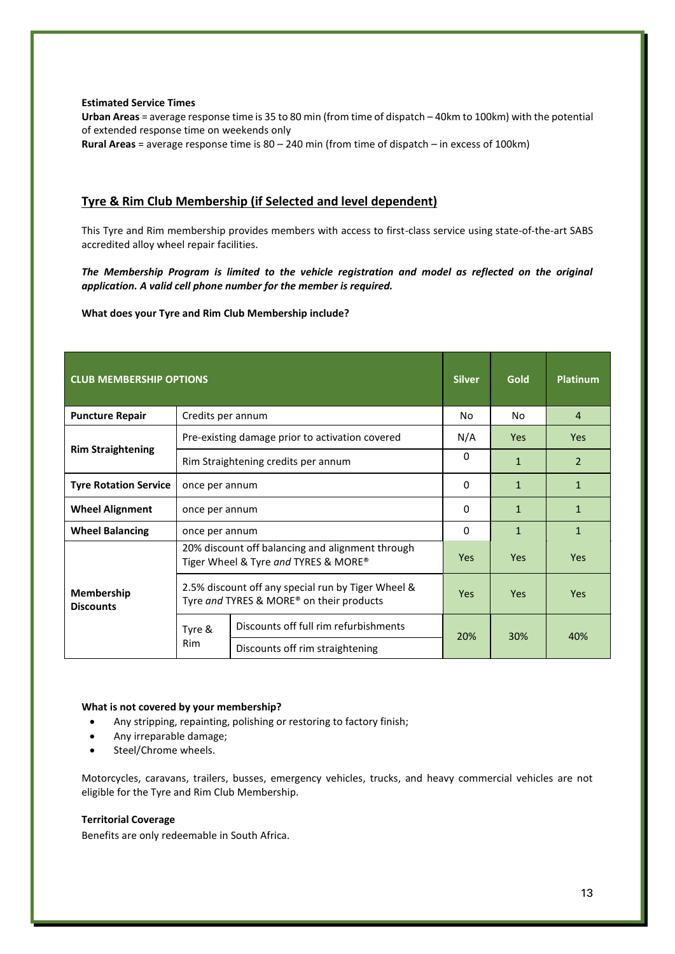### **Estimated Service Times**

**Urban Areas** = average response time is 35 to 80 min (from time of dispatch – 40km to 100km) with the potential of extended response time on weekends only **Rural Areas** = average response time is 80 – 240 min (from time of dispatch – in excess of 100km)

## **Tyre & Rim Club Membership (if Selected and level dependent)**

This Tyre and Rim membership provides members with access to first-class service using state-of-the-art SABS accredited alloy wheel repair facilities.

*The Membership Program is limited to the vehicle registration and model as reflected on the original application. A valid cell phone number for the member is required.* 

**What does your Tyre and Rim Club Membership include?**

| <b>CLUB MEMBERSHIP OPTIONS</b> |                                                                                                |                                       | <b>Silver</b> | <b>Gold</b>  | <b>Platinum</b> |
|--------------------------------|------------------------------------------------------------------------------------------------|---------------------------------------|---------------|--------------|-----------------|
| <b>Puncture Repair</b>         | Credits per annum                                                                              |                                       | No            | No           | 4               |
| <b>Rim Straightening</b>       | Pre-existing damage prior to activation covered                                                |                                       | N/A           | <b>Yes</b>   | <b>Yes</b>      |
|                                | Rim Straightening credits per annum                                                            |                                       | 0             | $\mathbf{1}$ | $\mathcal{P}$   |
| <b>Tyre Rotation Service</b>   | once per annum                                                                                 |                                       |               | $\mathbf{1}$ | $\mathbf{1}$    |
| <b>Wheel Alignment</b>         | once per annum                                                                                 |                                       | 0             | $\mathbf{1}$ | $\mathbf{1}$    |
| <b>Wheel Balancing</b>         | once per annum                                                                                 |                                       | 0             | $\mathbf{1}$ | $\mathbf{1}$    |
| Membership<br><b>Discounts</b> | 20% discount off balancing and alignment through<br>Tiger Wheel & Tyre and TYRES & MORE®       |                                       | <b>Yes</b>    | <b>Yes</b>   | Yes             |
|                                | 2.5% discount off any special run by Tiger Wheel &<br>Tyre and TYRES & MORE® on their products |                                       | <b>Yes</b>    | Yes          | <b>Yes</b>      |
|                                | Tyre &<br><b>Rim</b>                                                                           | Discounts off full rim refurbishments | 20%           | 30%          | 40%             |
|                                |                                                                                                | Discounts off rim straightening       |               |              |                 |

### **What is not covered by your membership?**

- Any stripping, repainting, polishing or restoring to factory finish;
- Any irreparable damage;
- Steel/Chrome wheels.

Motorcycles, caravans, trailers, busses, emergency vehicles, trucks, and heavy commercial vehicles are not eligible for the Tyre and Rim Club Membership.

### **Territorial Coverage**

Benefits are only redeemable in South Africa.